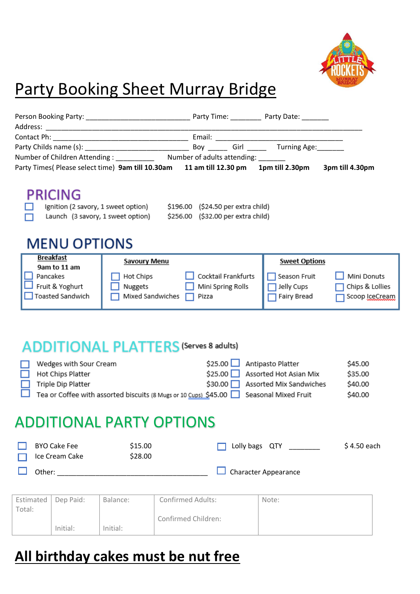

## Party Booking Sheet Murray Bridge

|                                                                 | Party Times( Please select time) 9am till 10.30am 11 am till 12.30 pm 1pm till 2.30pm                       |                                                   |                                           | 3pm till 4.30pm                                  |
|-----------------------------------------------------------------|-------------------------------------------------------------------------------------------------------------|---------------------------------------------------|-------------------------------------------|--------------------------------------------------|
| <b>PRICING</b><br><b>MENU OPTIONS</b>                           | Ignition (2 savory, 1 sweet option) \$196.00 (\$24.50 per extra child)<br>Launch (3 savory, 1 sweet option) | \$256.00 (\$32.00 per extra child)                |                                           |                                                  |
| <b>Breakfast</b>                                                | <b>Savoury Menu</b>                                                                                         |                                                   | <b>Sweet Options</b>                      |                                                  |
| 9am to 11 am<br>Pancakes<br>Fruit & Yoghurt<br>Toasted Sandwich | Hot Chips<br>Nuggets<br>Mixed Sandwiches                                                                    | Cocktail Frankfurts<br>Mini Spring Rolls<br>Pizza | Season Fruit<br>Jelly Cups<br>Fairy Bread | Mini Donuts<br>Chips & Lollies<br>Scoop IceCream |
|                                                                 | <b>ITIONAL PLATTERS (Serves 8 adults)</b>                                                                   |                                                   |                                           |                                                  |

| П | Wedges with Sour Cream                                                                | \$25.00 Antipasto Platter       | \$45.00 |
|---|---------------------------------------------------------------------------------------|---------------------------------|---------|
|   | Hot Chips Platter                                                                     | \$25.00 Assorted Hot Asian Mix  | \$35.00 |
|   | $\Box$ Triple Dip Platter                                                             | \$30.00 Assorted Mix Sandwiches | \$40.00 |
|   | Tea or Coffee with assorted biscuits (8 Mugs or 10 Cups) \$45.00 Seasonal Mixed Fruit |                                 | \$40.00 |

## ADDITIONAL PARTY OPTIONS

| <b>BYO Cake Fee</b><br>$\Box$ Ice Cream Cake | \$15.00<br>\$28.00 | Lolly bags QTY              | $$4.50$ each |
|----------------------------------------------|--------------------|-----------------------------|--------------|
| Other:                                       |                    | $\Box$ Character Appearance |              |

| Estimated   Dep Paid: |          | Balance: | Confirmed Adults:   | Note: |
|-----------------------|----------|----------|---------------------|-------|
| Total:                |          |          |                     |       |
|                       |          |          | Confirmed Children: |       |
|                       | Initial: | Initial: |                     |       |

## **All birthday cakes must be nut free**